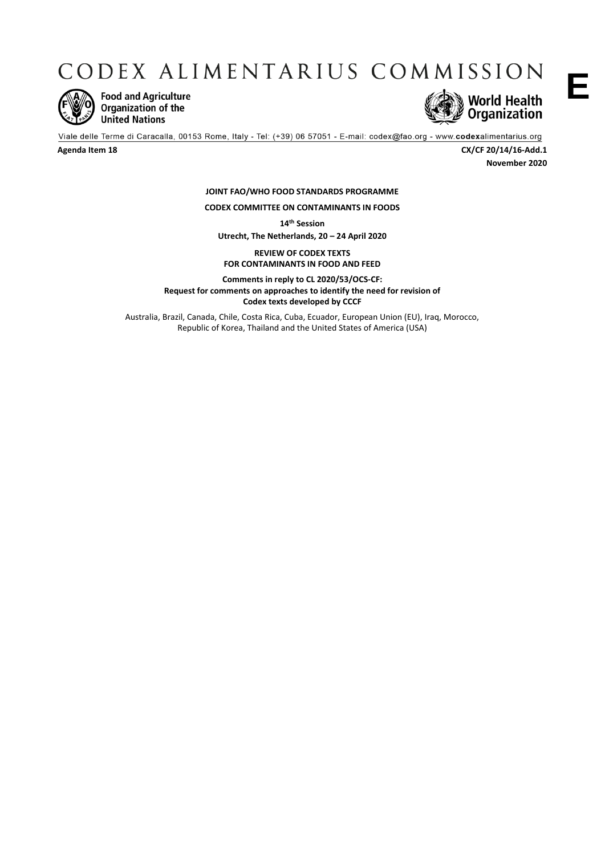CODEX ALIMENTARIUS COMMISSION



**Food and Agriculture** Organization of the **United Nations** 



**E**

Viale delle Terme di Caracalla, 00153 Rome, Italy - Tel: (+39) 06 57051 - E-mail: codex@fao.org - www.codexalimentarius.org

**Agenda Item 18 CX/CF 20/14/16-Add.1 November 2020**

> **JOINT FAO/WHO FOOD STANDARDS PROGRAMME CODEX COMMITTEE ON CONTAMINANTS IN FOODS**

> > **14th Session**

**Utrecht, The Netherlands, 20 – 24 April 2020**

**REVIEW OF CODEX TEXTS FOR CONTAMINANTS IN FOOD AND FEED**

**Comments in reply to CL 2020/53/OCS-CF: Request for comments on approaches to identify the need for revision of Codex texts developed by CCCF** 

Australia, Brazil, Canada, Chile, Costa Rica, Cuba, Ecuador, European Union (EU), Iraq, Morocco, Republic of Korea, Thailand and the United States of America (USA)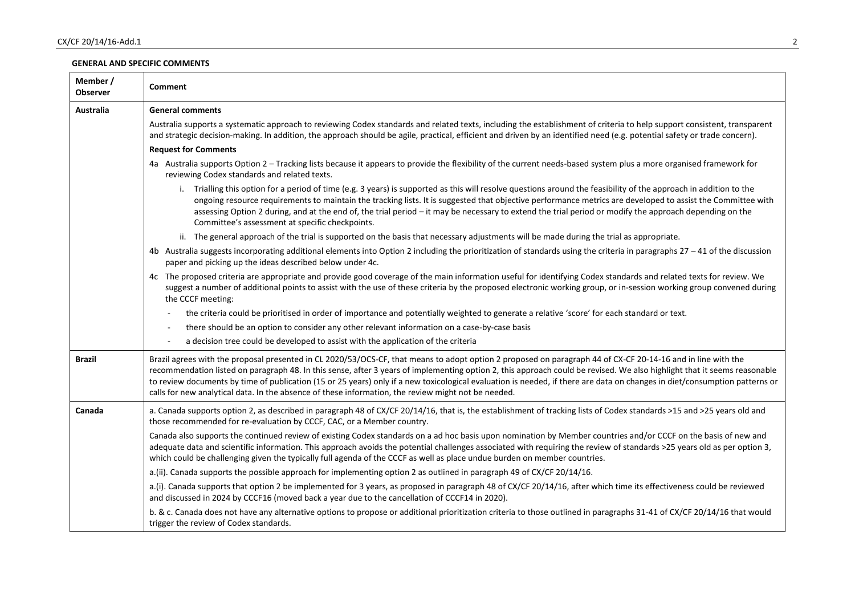## **GENERAL AND SPECIFIC COMMENTS**

| Member /<br>Observer | <b>Comment</b>                                                                                                                                                                                                                                                                                                                                                                                                                                                                                                                                                                                                                |
|----------------------|-------------------------------------------------------------------------------------------------------------------------------------------------------------------------------------------------------------------------------------------------------------------------------------------------------------------------------------------------------------------------------------------------------------------------------------------------------------------------------------------------------------------------------------------------------------------------------------------------------------------------------|
| <b>Australia</b>     | <b>General comments</b>                                                                                                                                                                                                                                                                                                                                                                                                                                                                                                                                                                                                       |
|                      | Australia supports a systematic approach to reviewing Codex standards and related texts, including the establishment of criteria to help support consistent, transparent<br>and strategic decision-making. In addition, the approach should be agile, practical, efficient and driven by an identified need (e.g. potential safety or trade concern).                                                                                                                                                                                                                                                                         |
|                      | <b>Request for Comments</b>                                                                                                                                                                                                                                                                                                                                                                                                                                                                                                                                                                                                   |
|                      | 4a Australia supports Option 2 - Tracking lists because it appears to provide the flexibility of the current needs-based system plus a more organised framework for<br>reviewing Codex standards and related texts.                                                                                                                                                                                                                                                                                                                                                                                                           |
|                      | i. Trialling this option for a period of time (e.g. 3 years) is supported as this will resolve questions around the feasibility of the approach in addition to the<br>ongoing resource requirements to maintain the tracking lists. It is suggested that objective performance metrics are developed to assist the Committee with<br>assessing Option 2 during, and at the end of, the trial period - it may be necessary to extend the trial period or modify the approach depending on the<br>Committee's assessment at specific checkpoints.                                                                               |
|                      | ii. The general approach of the trial is supported on the basis that necessary adjustments will be made during the trial as appropriate.                                                                                                                                                                                                                                                                                                                                                                                                                                                                                      |
|                      | 4b Australia suggests incorporating additional elements into Option 2 including the prioritization of standards using the criteria in paragraphs 27 - 41 of the discussion<br>paper and picking up the ideas described below under 4c.                                                                                                                                                                                                                                                                                                                                                                                        |
|                      | 4c The proposed criteria are appropriate and provide good coverage of the main information useful for identifying Codex standards and related texts for review. We<br>suggest a number of additional points to assist with the use of these criteria by the proposed electronic working group, or in-session working group convened during<br>the CCCF meeting:                                                                                                                                                                                                                                                               |
|                      | the criteria could be prioritised in order of importance and potentially weighted to generate a relative 'score' for each standard or text.                                                                                                                                                                                                                                                                                                                                                                                                                                                                                   |
|                      | there should be an option to consider any other relevant information on a case-by-case basis                                                                                                                                                                                                                                                                                                                                                                                                                                                                                                                                  |
|                      | a decision tree could be developed to assist with the application of the criteria<br>$\sim$                                                                                                                                                                                                                                                                                                                                                                                                                                                                                                                                   |
| <b>Brazil</b>        | Brazil agrees with the proposal presented in CL 2020/53/OCS-CF, that means to adopt option 2 proposed on paragraph 44 of CX-CF 20-14-16 and in line with the<br>recommendation listed on paragraph 48. In this sense, after 3 years of implementing option 2, this approach could be revised. We also highlight that it seems reasonable<br>to review documents by time of publication (15 or 25 years) only if a new toxicological evaluation is needed, if there are data on changes in diet/consumption patterns or<br>calls for new analytical data. In the absence of these information, the review might not be needed. |
| Canada               | a. Canada supports option 2, as described in paragraph 48 of CX/CF 20/14/16, that is, the establishment of tracking lists of Codex standards >15 and >25 years old and<br>those recommended for re-evaluation by CCCF, CAC, or a Member country.                                                                                                                                                                                                                                                                                                                                                                              |
|                      | Canada also supports the continued review of existing Codex standards on a ad hoc basis upon nomination by Member countries and/or CCCF on the basis of new and<br>adequate data and scientific information. This approach avoids the potential challenges associated with requiring the review of standards >25 years old as per option 3,<br>which could be challenging given the typically full agenda of the CCCF as well as place undue burden on member countries.                                                                                                                                                      |
|                      | a.(ii). Canada supports the possible approach for implementing option 2 as outlined in paragraph 49 of CX/CF 20/14/16.                                                                                                                                                                                                                                                                                                                                                                                                                                                                                                        |
|                      | a.(i). Canada supports that option 2 be implemented for 3 years, as proposed in paragraph 48 of CX/CF 20/14/16, after which time its effectiveness could be reviewed<br>and discussed in 2024 by CCCF16 (moved back a year due to the cancellation of CCCF14 in 2020).                                                                                                                                                                                                                                                                                                                                                        |
|                      | b. & c. Canada does not have any alternative options to propose or additional prioritization criteria to those outlined in paragraphs 31-41 of CX/CF 20/14/16 that would<br>trigger the review of Codex standards.                                                                                                                                                                                                                                                                                                                                                                                                            |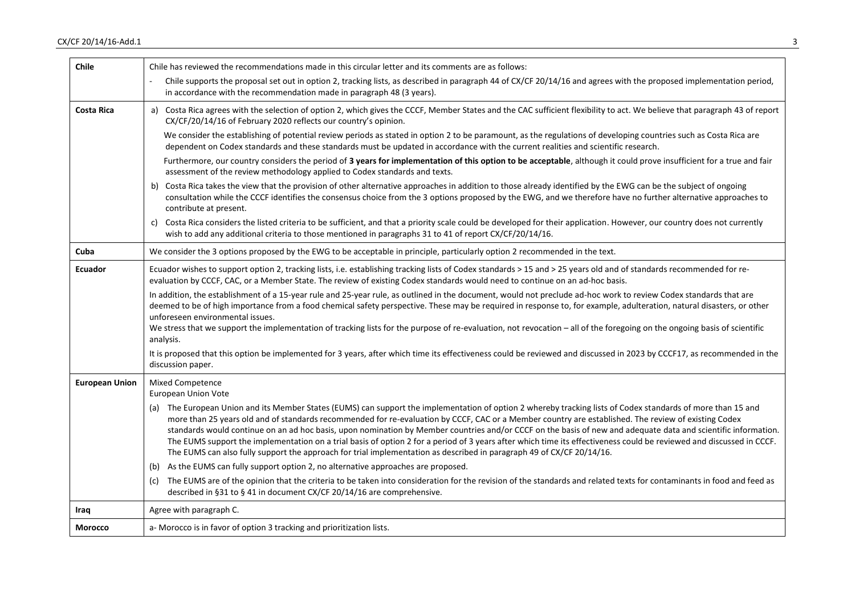| <b>Chile</b>          | Chile has reviewed the recommendations made in this circular letter and its comments are as follows:                                                                                                                                                                                                                                                                                                                                                                                                                                                                                                                                                                                                                                                                                    |
|-----------------------|-----------------------------------------------------------------------------------------------------------------------------------------------------------------------------------------------------------------------------------------------------------------------------------------------------------------------------------------------------------------------------------------------------------------------------------------------------------------------------------------------------------------------------------------------------------------------------------------------------------------------------------------------------------------------------------------------------------------------------------------------------------------------------------------|
|                       | Chile supports the proposal set out in option 2, tracking lists, as described in paragraph 44 of CX/CF 20/14/16 and agrees with the proposed implementation period,<br>in accordance with the recommendation made in paragraph 48 (3 years).                                                                                                                                                                                                                                                                                                                                                                                                                                                                                                                                            |
| Costa Rica            | a) Costa Rica agrees with the selection of option 2, which gives the CCCF, Member States and the CAC sufficient flexibility to act. We believe that paragraph 43 of report<br>CX/CF/20/14/16 of February 2020 reflects our country's opinion.                                                                                                                                                                                                                                                                                                                                                                                                                                                                                                                                           |
|                       | We consider the establishing of potential review periods as stated in option 2 to be paramount, as the regulations of developing countries such as Costa Rica are<br>dependent on Codex standards and these standards must be updated in accordance with the current realities and scientific research.                                                                                                                                                                                                                                                                                                                                                                                                                                                                                 |
|                       | Furthermore, our country considers the period of 3 years for implementation of this option to be acceptable, although it could prove insufficient for a true and fair<br>assessment of the review methodology applied to Codex standards and texts.                                                                                                                                                                                                                                                                                                                                                                                                                                                                                                                                     |
|                       | b) Costa Rica takes the view that the provision of other alternative approaches in addition to those already identified by the EWG can be the subject of ongoing<br>consultation while the CCCF identifies the consensus choice from the 3 options proposed by the EWG, and we therefore have no further alternative approaches to<br>contribute at present.                                                                                                                                                                                                                                                                                                                                                                                                                            |
|                       | Costa Rica considers the listed criteria to be sufficient, and that a priority scale could be developed for their application. However, our country does not currently<br>C)<br>wish to add any additional criteria to those mentioned in paragraphs 31 to 41 of report CX/CF/20/14/16.                                                                                                                                                                                                                                                                                                                                                                                                                                                                                                 |
| Cuba                  | We consider the 3 options proposed by the EWG to be acceptable in principle, particularly option 2 recommended in the text.                                                                                                                                                                                                                                                                                                                                                                                                                                                                                                                                                                                                                                                             |
| Ecuador               | Ecuador wishes to support option 2, tracking lists, i.e. establishing tracking lists of Codex standards > 15 and > 25 years old and of standards recommended for re-<br>evaluation by CCCF, CAC, or a Member State. The review of existing Codex standards would need to continue on an ad-hoc basis.                                                                                                                                                                                                                                                                                                                                                                                                                                                                                   |
|                       | In addition, the establishment of a 15-year rule and 25-year rule, as outlined in the document, would not preclude ad-hoc work to review Codex standards that are<br>deemed to be of high importance from a food chemical safety perspective. These may be required in response to, for example, adulteration, natural disasters, or other<br>unforeseen environmental issues.<br>We stress that we support the implementation of tracking lists for the purpose of re-evaluation, not revocation - all of the foregoing on the ongoing basis of scientific<br>analysis.                                                                                                                                                                                                                |
|                       | It is proposed that this option be implemented for 3 years, after which time its effectiveness could be reviewed and discussed in 2023 by CCCF17, as recommended in the<br>discussion paper.                                                                                                                                                                                                                                                                                                                                                                                                                                                                                                                                                                                            |
| <b>European Union</b> | Mixed Competence<br>European Union Vote                                                                                                                                                                                                                                                                                                                                                                                                                                                                                                                                                                                                                                                                                                                                                 |
|                       | (a) The European Union and its Member States (EUMS) can support the implementation of option 2 whereby tracking lists of Codex standards of more than 15 and<br>more than 25 years old and of standards recommended for re-evaluation by CCCF, CAC or a Member country are established. The review of existing Codex<br>standards would continue on an ad hoc basis, upon nomination by Member countries and/or CCCF on the basis of new and adequate data and scientific information.<br>The EUMS support the implementation on a trial basis of option 2 for a period of 3 years after which time its effectiveness could be reviewed and discussed in CCCF.<br>The EUMS can also fully support the approach for trial implementation as described in paragraph 49 of CX/CF 20/14/16. |
|                       | (b) As the EUMS can fully support option 2, no alternative approaches are proposed.                                                                                                                                                                                                                                                                                                                                                                                                                                                                                                                                                                                                                                                                                                     |
|                       | The EUMS are of the opinion that the criteria to be taken into consideration for the revision of the standards and related texts for contaminants in food and feed as<br>(c)<br>described in §31 to §41 in document CX/CF 20/14/16 are comprehensive.                                                                                                                                                                                                                                                                                                                                                                                                                                                                                                                                   |
| Iraq                  | Agree with paragraph C.                                                                                                                                                                                                                                                                                                                                                                                                                                                                                                                                                                                                                                                                                                                                                                 |
| <b>Morocco</b>        | a- Morocco is in favor of option 3 tracking and prioritization lists.                                                                                                                                                                                                                                                                                                                                                                                                                                                                                                                                                                                                                                                                                                                   |